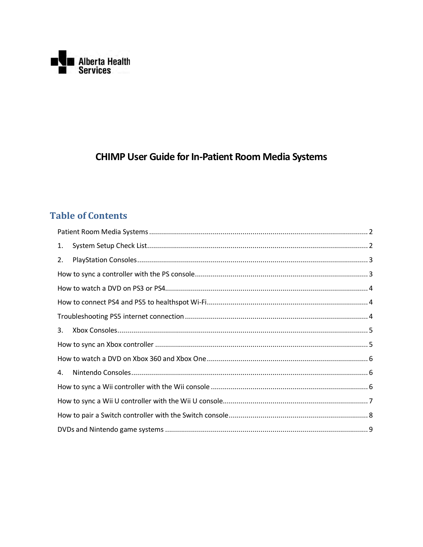

# **CHIMP User Guide for In-Patient Room Media Systems**

### **Table of Contents**

| 1. |  |
|----|--|
| 2. |  |
|    |  |
|    |  |
|    |  |
|    |  |
| 3. |  |
|    |  |
|    |  |
| 4. |  |
|    |  |
|    |  |
|    |  |
|    |  |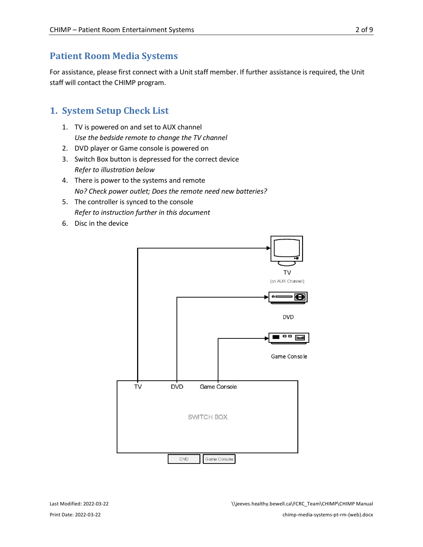### <span id="page-1-0"></span>**Patient Room Media Systems**

For assistance, please first connect with a Unit staff member. If further assistance is required, the Unit staff will contact the CHIMP program.

### <span id="page-1-1"></span>**1. System Setup Check List**

- 1. TV is powered on and set to AUX channel *Use the bedside remote to change the TV channel*
- 2. DVD player or Game console is powered on
- 3. Switch Box button is depressed for the correct device *Refer to illustration below*
- 4. There is power to the systems and remote *No? Check power outlet; Does the remote need new batteries?*
- 5. The controller is synced to the console *Refer to instruction further in this document*
- 6. Disc in the device

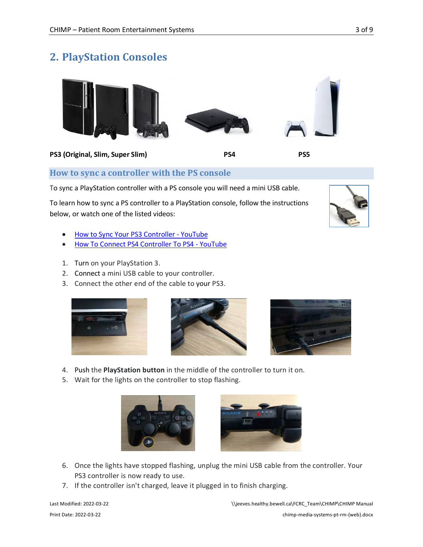<span id="page-2-0"></span>



### <span id="page-2-1"></span>**How to sync a controller with the PS console**

To sync a PlayStation controller with a PS console you will need a mini USB cable.

To learn how to sync a PS controller to a PlayStation console, follow the instructions below, or watch one of the listed videos:

- [How to Sync Your PS3 Controller YouTube](https://www.youtube.com/watch?v=U1ANXb2KOWY)
- [How To Connect PS4 Controller To PS4 YouTube](https://www.youtube.com/watch?v=2zhLd7p2s2E)
- 1. Turn on your PlayStation 3.
- 2. Connect a mini USB cable to your controller.
- 3. Connect the other end of the cable to your PS3.







- 4. Push the **PlayStation button** in the middle of the controller to turn it on.
- 5. Wait for the lights on the controller to stop flashing.





- 6. Once the lights have stopped flashing, unplug the mini USB cable from the controller. Your PS3 controller is now ready to use.
- 7. If the controller isn't charged, leave it plugged in to finish charging.

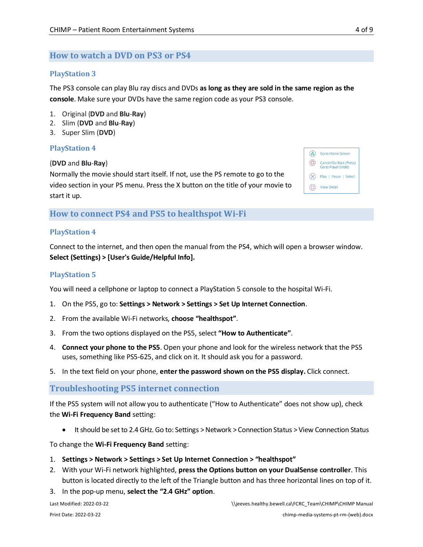### <span id="page-3-0"></span>**How to watch a DVD on PS3 or PS4**

### **PlayStation 3**

The PS3 console can play Blu ray discs and DVDs **as long as they are sold in the same region as the console**. Make sure your DVDs have the same region code as your PS3 console.

- 1. Original (**DVD** and **Blu**-**Ray**)
- 2. Slim (**DVD** and **Blu**-**Ray**)
- 3. Super Slim (**DVD**)

### **PlayStation 4**

#### (**DVD** and **Blu**-**Ray**)

Normally the movie should start itself. If not, use the PS remote to go to the video section in your PS menu. Press the X button on the title of your movie to start it up.

| Go to Home Screen                             |
|-----------------------------------------------|
| Cancel/Go Back (Press)<br>Go to Player (Hold) |
| Play   Pause   Select                         |
| <b>View Detail</b>                            |

<span id="page-3-1"></span>**How to connect PS4 and PS5 to healthspot Wi-Fi** 

### **PlayStation 4**

Connect to the internet, and then open the manual from the PS4, which will open a browser window. **Select (Settings) > [User's Guide/Helpful Info].**

#### **PlayStation 5**

You will need a cellphone or laptop to connect a PlayStation 5 console to the hospital Wi-Fi.

- 1. On the PS5, go to: **Settings > Network > Settings > Set Up Internet Connection**.
- 2. From the available Wi-Fi networks, **choose "healthspot"**.
- 3. From the two options displayed on the PS5, select **"How to Authenticate"**.
- 4. **Connect your phone to the PS5**. Open your phone and look for the wireless network that the PS5 uses, something like PS5-625, and click on it. It should ask you for a password.
- 5. In the text field on your phone, **enter the password shown on the PS5 display.** Click connect.

### <span id="page-3-2"></span>**Troubleshooting PS5 internet connection**

If the PS5 system will not allow you to authenticate ("How to Authenticate" does not show up), check the **Wi-Fi Frequency Band** setting:

• It should be set to 2.4 GHz. Go to: Settings > Network > Connection Status > View Connection Status

To change the **Wi-Fi Frequency Band** setting:

- 1. **Settings > Network > Settings > Set Up Internet Connection > "healthspot"**
- 2. With your Wi-Fi network highlighted, **press the Options button on your DualSense controller**. This button is located directly to the left of the Triangle button and has three horizontal lines on top of it.
- 3. In the pop-up menu, **select the "2.4 GHz" option**.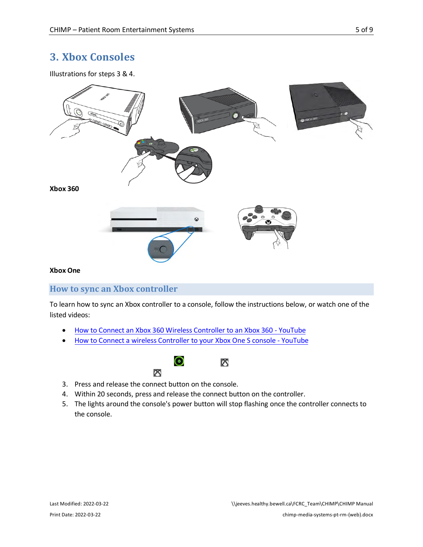## <span id="page-4-0"></span>**3. Xbox Consoles**

Illustrations for steps 3 & 4.



#### **Xbox One**

### <span id="page-4-1"></span>**How to sync an Xbox controller**

To learn how to sync an Xbox controller to a console, follow the instructions below, or watch one of the listed videos:

- [How to Connect an Xbox 360 Wireless Controller to an Xbox 360 YouTube](https://www.youtube.com/watch?v=GpV-b1de2lM)
- [How to Connect a wireless Controller to your Xbox One S console YouTube](https://youtu.be/6ItNxZgZU10)





- 
- 3. Press and release the connect button on the console.
- 4. Within 20 seconds, press and release the connect button on the controller.
- 5. The lights around the console's power button will stop flashing once the controller connects to the console.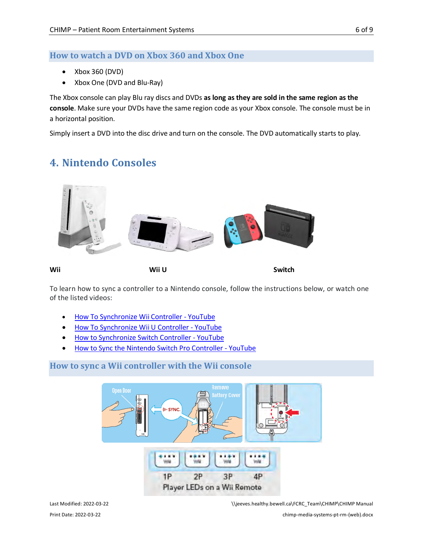### <span id="page-5-0"></span>**How to watch a DVD on Xbox 360 and Xbox One**

- Xbox 360 (DVD)
- Xbox One (DVD and Blu-Ray)

The Xbox console can play Blu ray discs and DVDs **as long as they are sold in the same region as the console**. Make sure your DVDs have the same region code as your Xbox console. The console must be in a horizontal position.

<span id="page-5-1"></span>Simply insert a DVD into the disc drive and turn on the console. The DVD automatically starts to play.

# **4. Nintendo Consoles**



To learn how to sync a controller to a Nintendo console, follow the instructions below, or watch one of the listed videos:

- [How To Synchronize Wii Controller YouTube](https://www.youtube.com/watch?v=BN3vaFb90NY)
- [How To Synchronize Wii U Controller YouTube](https://youtu.be/oGJ10XLMo5w)
- [How to Synchronize Switch Controller YouTube](https://youtu.be/i2YkJ9_vukg)
- [How to Sync the Nintendo Switch Pro Controller YouTube](https://youtu.be/CmulUqnxd_M)

### <span id="page-5-2"></span>**How to sync a Wii controller with the Wii console**



Last Modified: 2022-03-22 \\jeeves.healthy.bewell.ca\FCRC\_Team\CHIMP\CHIMP Manual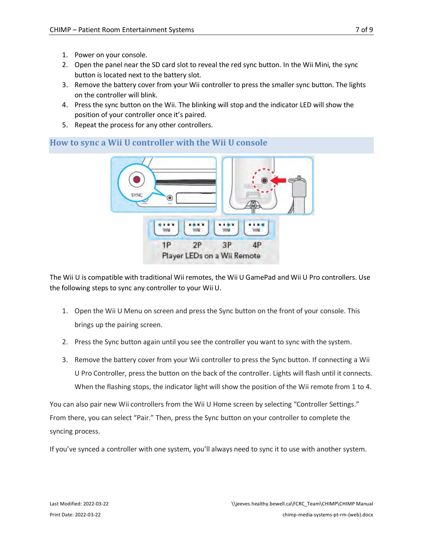- 1. Power on your console.
- 2. Open the panel near the SD card slot to reveal the red sync button. In the Wii Mini, the sync button is located next to the battery slot.
- 3. Remove the battery cover from your Wii controller to press the smaller sync button. The lights on the controller will blink.
- 4. Press the sync button on the Wii. The blinking will stop and the indicator LED will show the position of your controller once it's paired.
- 5. Repeat the process for any other controllers.

<span id="page-6-0"></span>

The Wii U is compatible with traditional Wii remotes, the Wii U GamePad and Wii U Pro controllers. Use the following steps to sync any controller to your Wii U.

- 1. Open the Wii U Menu on screen and press the Sync button on the front of your console. This brings up the pairing screen.
- 2. Press the Sync button again until you see the controller you want to sync with the system.
- 3. Remove the battery cover from your Wii controller to press the Sync button. If connecting a Wii U Pro Controller, press the button on the back of the controller. Lights will flash until it connects. When the flashing stops, the indicator light will show the position of the Wii remote from 1 to 4.

You can also pair new Wii controllers from the Wii U Home screen by selecting "Controller Settings." From there, you can select "Pair." Then, press the Sync button on your controller to complete the syncing process.

If you've synced a controller with one system, you'll always need to sync it to use with another system.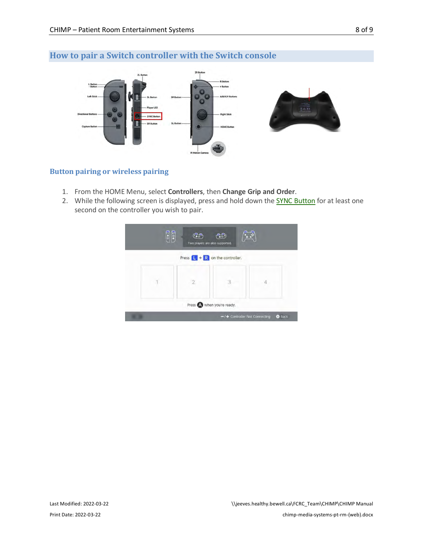## <span id="page-7-0"></span>**How to pair a Switch controller with the Switch console**



### **Button pairing or wireless pairing**

- 1. From the HOME Menu, select **Controllers**, then **Change Grip and Order**.
- 2. While the following screen is displayed, press and hold down the **[SYNC Button](https://en-americas-support.nintendo.com/app/answers/detail/a_id/27538)** for at least one second on the controller you wish to pair.

| Press $\boxed{\mathsf{L}}$ + $\boxed{\mathsf{R}}$ on the controller. |
|----------------------------------------------------------------------|
|                                                                      |
| 2                                                                    |